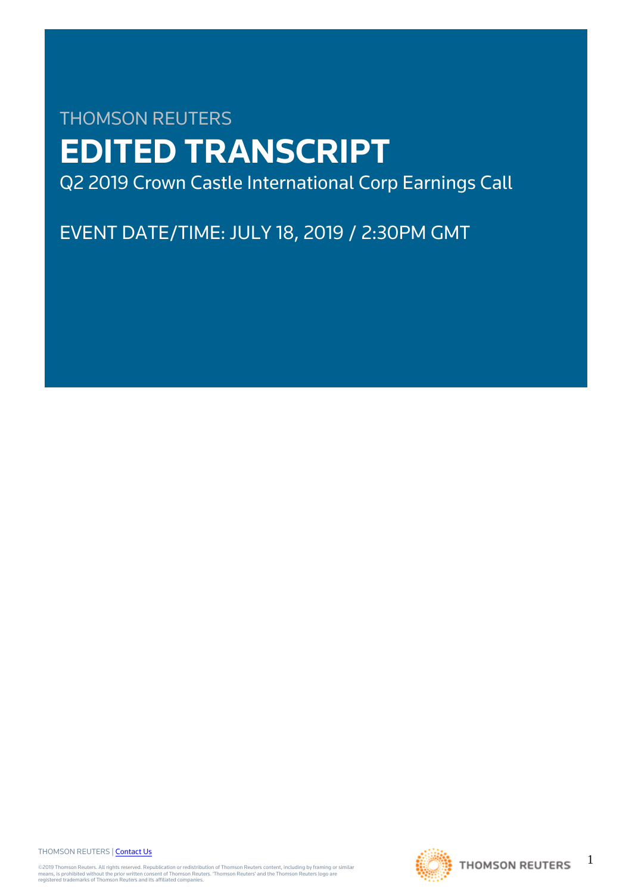# THOMSON REUTERS **EDITED TRANSCRIPT** Q2 2019 Crown Castle International Corp Earnings Call

EVENT DATE/TIME: JULY 18, 2019 / 2:30PM GMT

THOMSON REUTERS | [Contact Us](https://my.thomsonreuters.com/ContactUsNew)

©2019 Thomson Reuters. All rights reserved. Republication or redistribution of Thomson Reuters content, including by framing or similar<br>means, is prohibited without the prior written consent of Thomson Reuters. "Thomson Re



1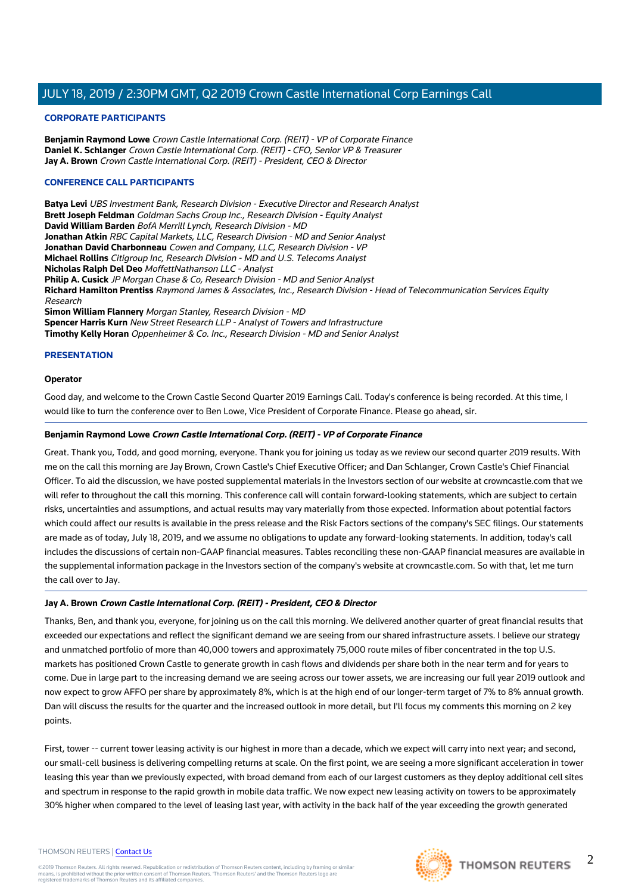#### **CORPORATE PARTICIPANTS**

**Benjamin Raymond Lowe** Crown Castle International Corp. (REIT) - VP of Corporate Finance **Daniel K. Schlanger** Crown Castle International Corp. (REIT) - CFO, Senior VP & Treasurer **Jay A. Brown** Crown Castle International Corp. (REIT) - President, CEO & Director

#### **CONFERENCE CALL PARTICIPANTS**

**Batya Levi** UBS Investment Bank, Research Division - Executive Director and Research Analyst **Brett Joseph Feldman** Goldman Sachs Group Inc., Research Division - Equity Analyst **David William Barden** BofA Merrill Lynch, Research Division - MD **Jonathan Atkin** RBC Capital Markets, LLC, Research Division - MD and Senior Analyst **Jonathan David Charbonneau** Cowen and Company, LLC, Research Division - VP **Michael Rollins** Citigroup Inc, Research Division - MD and U.S. Telecoms Analyst **Nicholas Ralph Del Deo** MoffettNathanson LLC - Analyst **Philip A. Cusick** JP Morgan Chase & Co, Research Division - MD and Senior Analyst **Richard Hamilton Prentiss** Raymond James & Associates, Inc., Research Division - Head of Telecommunication Services Equity Research **Simon William Flannery** Morgan Stanley, Research Division - MD **Spencer Harris Kurn** New Street Research LLP - Analyst of Towers and Infrastructure **Timothy Kelly Horan** Oppenheimer & Co. Inc., Research Division - MD and Senior Analyst

## **PRESENTATION**

#### **Operator**

Good day, and welcome to the Crown Castle Second Quarter 2019 Earnings Call. Today's conference is being recorded. At this time, I would like to turn the conference over to Ben Lowe, Vice President of Corporate Finance. Please go ahead, sir.

#### **Benjamin Raymond Lowe Crown Castle International Corp. (REIT) - VP of Corporate Finance**

Great. Thank you, Todd, and good morning, everyone. Thank you for joining us today as we review our second quarter 2019 results. With me on the call this morning are Jay Brown, Crown Castle's Chief Executive Officer; and Dan Schlanger, Crown Castle's Chief Financial Officer. To aid the discussion, we have posted supplemental materials in the Investors section of our website at crowncastle.com that we will refer to throughout the call this morning. This conference call will contain forward-looking statements, which are subject to certain risks, uncertainties and assumptions, and actual results may vary materially from those expected. Information about potential factors which could affect our results is available in the press release and the Risk Factors sections of the company's SEC filings. Our statements are made as of today, July 18, 2019, and we assume no obligations to update any forward-looking statements. In addition, today's call includes the discussions of certain non-GAAP financial measures. Tables reconciling these non-GAAP financial measures are available in the supplemental information package in the Investors section of the company's website at crowncastle.com. So with that, let me turn the call over to Jay.

#### **Jay A. Brown Crown Castle International Corp. (REIT) - President, CEO & Director**

Thanks, Ben, and thank you, everyone, for joining us on the call this morning. We delivered another quarter of great financial results that exceeded our expectations and reflect the significant demand we are seeing from our shared infrastructure assets. I believe our strategy and unmatched portfolio of more than 40,000 towers and approximately 75,000 route miles of fiber concentrated in the top U.S. markets has positioned Crown Castle to generate growth in cash flows and dividends per share both in the near term and for years to come. Due in large part to the increasing demand we are seeing across our tower assets, we are increasing our full year 2019 outlook and now expect to grow AFFO per share by approximately 8%, which is at the high end of our longer-term target of 7% to 8% annual growth. Dan will discuss the results for the quarter and the increased outlook in more detail, but I'll focus my comments this morning on 2 key points.

First, tower -- current tower leasing activity is our highest in more than a decade, which we expect will carry into next year; and second, our small-cell business is delivering compelling returns at scale. On the first point, we are seeing a more significant acceleration in tower leasing this year than we previously expected, with broad demand from each of our largest customers as they deploy additional cell sites and spectrum in response to the rapid growth in mobile data traffic. We now expect new leasing activity on towers to be approximately 30% higher when compared to the level of leasing last year, with activity in the back half of the year exceeding the growth generated

#### THOMSON REUTERS | [Contact Us](https://my.thomsonreuters.com/ContactUsNew)

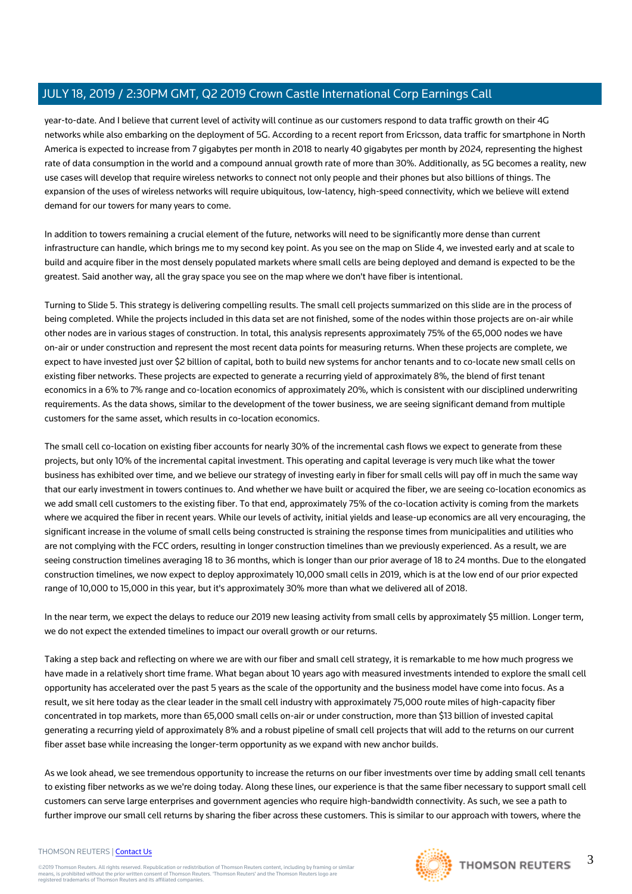year-to-date. And I believe that current level of activity will continue as our customers respond to data traffic growth on their 4G networks while also embarking on the deployment of 5G. According to a recent report from Ericsson, data traffic for smartphone in North America is expected to increase from 7 gigabytes per month in 2018 to nearly 40 gigabytes per month by 2024, representing the highest rate of data consumption in the world and a compound annual growth rate of more than 30%. Additionally, as 5G becomes a reality, new use cases will develop that require wireless networks to connect not only people and their phones but also billions of things. The expansion of the uses of wireless networks will require ubiquitous, low-latency, high-speed connectivity, which we believe will extend demand for our towers for many years to come.

In addition to towers remaining a crucial element of the future, networks will need to be significantly more dense than current infrastructure can handle, which brings me to my second key point. As you see on the map on Slide 4, we invested early and at scale to build and acquire fiber in the most densely populated markets where small cells are being deployed and demand is expected to be the greatest. Said another way, all the gray space you see on the map where we don't have fiber is intentional.

Turning to Slide 5. This strategy is delivering compelling results. The small cell projects summarized on this slide are in the process of being completed. While the projects included in this data set are not finished, some of the nodes within those projects are on-air while other nodes are in various stages of construction. In total, this analysis represents approximately 75% of the 65,000 nodes we have on-air or under construction and represent the most recent data points for measuring returns. When these projects are complete, we expect to have invested just over \$2 billion of capital, both to build new systems for anchor tenants and to co-locate new small cells on existing fiber networks. These projects are expected to generate a recurring yield of approximately 8%, the blend of first tenant economics in a 6% to 7% range and co-location economics of approximately 20%, which is consistent with our disciplined underwriting requirements. As the data shows, similar to the development of the tower business, we are seeing significant demand from multiple customers for the same asset, which results in co-location economics.

The small cell co-location on existing fiber accounts for nearly 30% of the incremental cash flows we expect to generate from these projects, but only 10% of the incremental capital investment. This operating and capital leverage is very much like what the tower business has exhibited over time, and we believe our strategy of investing early in fiber for small cells will pay off in much the same way that our early investment in towers continues to. And whether we have built or acquired the fiber, we are seeing co-location economics as we add small cell customers to the existing fiber. To that end, approximately 75% of the co-location activity is coming from the markets where we acquired the fiber in recent years. While our levels of activity, initial yields and lease-up economics are all very encouraging, the significant increase in the volume of small cells being constructed is straining the response times from municipalities and utilities who are not complying with the FCC orders, resulting in longer construction timelines than we previously experienced. As a result, we are seeing construction timelines averaging 18 to 36 months, which is longer than our prior average of 18 to 24 months. Due to the elongated construction timelines, we now expect to deploy approximately 10,000 small cells in 2019, which is at the low end of our prior expected range of 10,000 to 15,000 in this year, but it's approximately 30% more than what we delivered all of 2018.

In the near term, we expect the delays to reduce our 2019 new leasing activity from small cells by approximately \$5 million. Longer term, we do not expect the extended timelines to impact our overall growth or our returns.

Taking a step back and reflecting on where we are with our fiber and small cell strategy, it is remarkable to me how much progress we have made in a relatively short time frame. What began about 10 years ago with measured investments intended to explore the small cell opportunity has accelerated over the past 5 years as the scale of the opportunity and the business model have come into focus. As a result, we sit here today as the clear leader in the small cell industry with approximately 75,000 route miles of high-capacity fiber concentrated in top markets, more than 65,000 small cells on-air or under construction, more than \$13 billion of invested capital generating a recurring yield of approximately 8% and a robust pipeline of small cell projects that will add to the returns on our current fiber asset base while increasing the longer-term opportunity as we expand with new anchor builds.

As we look ahead, we see tremendous opportunity to increase the returns on our fiber investments over time by adding small cell tenants to existing fiber networks as we we're doing today. Along these lines, our experience is that the same fiber necessary to support small cell customers can serve large enterprises and government agencies who require high-bandwidth connectivity. As such, we see a path to further improve our small cell returns by sharing the fiber across these customers. This is similar to our approach with towers, where the

#### THOMSON REUTERS | [Contact Us](https://my.thomsonreuters.com/ContactUsNew)

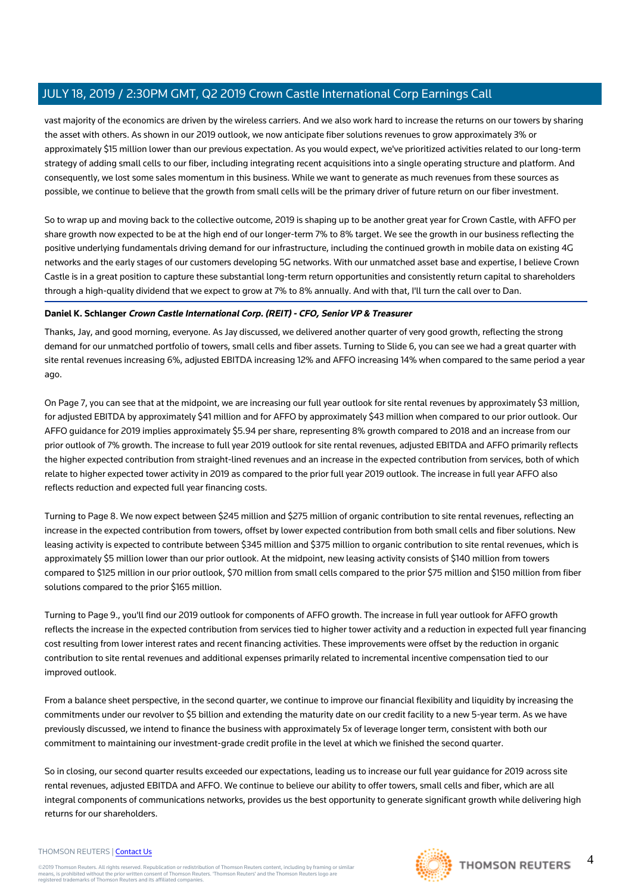vast majority of the economics are driven by the wireless carriers. And we also work hard to increase the returns on our towers by sharing the asset with others. As shown in our 2019 outlook, we now anticipate fiber solutions revenues to grow approximately 3% or approximately \$15 million lower than our previous expectation. As you would expect, we've prioritized activities related to our long-term strategy of adding small cells to our fiber, including integrating recent acquisitions into a single operating structure and platform. And consequently, we lost some sales momentum in this business. While we want to generate as much revenues from these sources as possible, we continue to believe that the growth from small cells will be the primary driver of future return on our fiber investment.

So to wrap up and moving back to the collective outcome, 2019 is shaping up to be another great year for Crown Castle, with AFFO per share growth now expected to be at the high end of our longer-term 7% to 8% target. We see the growth in our business reflecting the positive underlying fundamentals driving demand for our infrastructure, including the continued growth in mobile data on existing 4G networks and the early stages of our customers developing 5G networks. With our unmatched asset base and expertise, I believe Crown Castle is in a great position to capture these substantial long-term return opportunities and consistently return capital to shareholders through a high-quality dividend that we expect to grow at 7% to 8% annually. And with that, I'll turn the call over to Dan.

# **Daniel K. Schlanger Crown Castle International Corp. (REIT) - CFO, Senior VP & Treasurer**

Thanks, Jay, and good morning, everyone. As Jay discussed, we delivered another quarter of very good growth, reflecting the strong demand for our unmatched portfolio of towers, small cells and fiber assets. Turning to Slide 6, you can see we had a great quarter with site rental revenues increasing 6%, adjusted EBITDA increasing 12% and AFFO increasing 14% when compared to the same period a year ago.

On Page 7, you can see that at the midpoint, we are increasing our full year outlook for site rental revenues by approximately \$3 million, for adjusted EBITDA by approximately \$41 million and for AFFO by approximately \$43 million when compared to our prior outlook. Our AFFO guidance for 2019 implies approximately \$5.94 per share, representing 8% growth compared to 2018 and an increase from our prior outlook of 7% growth. The increase to full year 2019 outlook for site rental revenues, adjusted EBITDA and AFFO primarily reflects the higher expected contribution from straight-lined revenues and an increase in the expected contribution from services, both of which relate to higher expected tower activity in 2019 as compared to the prior full year 2019 outlook. The increase in full year AFFO also reflects reduction and expected full year financing costs.

Turning to Page 8. We now expect between \$245 million and \$275 million of organic contribution to site rental revenues, reflecting an increase in the expected contribution from towers, offset by lower expected contribution from both small cells and fiber solutions. New leasing activity is expected to contribute between \$345 million and \$375 million to organic contribution to site rental revenues, which is approximately \$5 million lower than our prior outlook. At the midpoint, new leasing activity consists of \$140 million from towers compared to \$125 million in our prior outlook, \$70 million from small cells compared to the prior \$75 million and \$150 million from fiber solutions compared to the prior \$165 million.

Turning to Page 9., you'll find our 2019 outlook for components of AFFO growth. The increase in full year outlook for AFFO growth reflects the increase in the expected contribution from services tied to higher tower activity and a reduction in expected full year financing cost resulting from lower interest rates and recent financing activities. These improvements were offset by the reduction in organic contribution to site rental revenues and additional expenses primarily related to incremental incentive compensation tied to our improved outlook.

From a balance sheet perspective, in the second quarter, we continue to improve our financial flexibility and liquidity by increasing the commitments under our revolver to \$5 billion and extending the maturity date on our credit facility to a new 5-year term. As we have previously discussed, we intend to finance the business with approximately 5x of leverage longer term, consistent with both our commitment to maintaining our investment-grade credit profile in the level at which we finished the second quarter.

So in closing, our second quarter results exceeded our expectations, leading us to increase our full year guidance for 2019 across site rental revenues, adjusted EBITDA and AFFO. We continue to believe our ability to offer towers, small cells and fiber, which are all integral components of communications networks, provides us the best opportunity to generate significant growth while delivering high returns for our shareholders.

#### THOMSON REUTERS | [Contact Us](https://my.thomsonreuters.com/ContactUsNew)

©2019 Thomson Reuters. All rights reserved. Republication or redistribution of Thomson Reuters content, including by framing or similar<br>means, is prohibited without the prior written consent of Thomson Reuters. "Thomson Re



4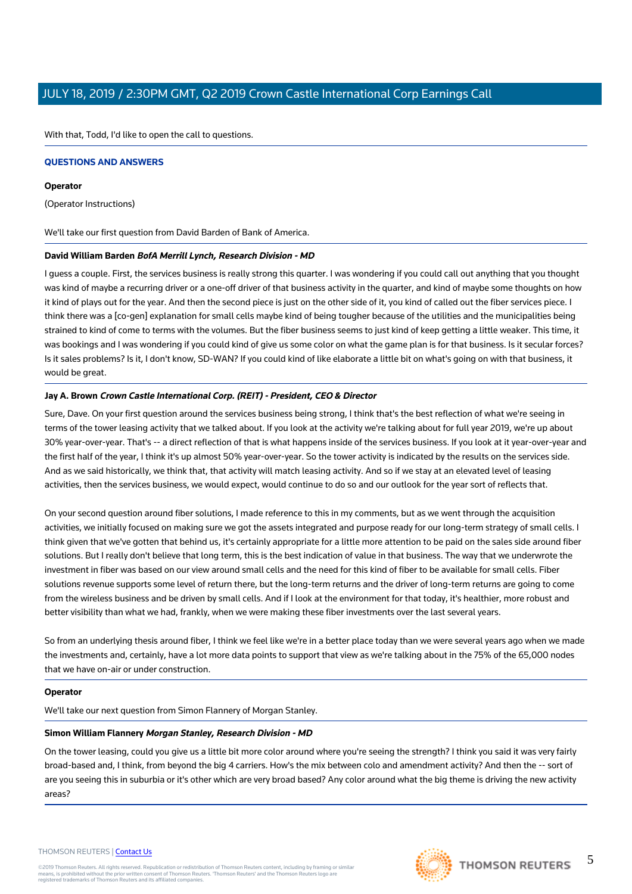With that, Todd, I'd like to open the call to questions.

#### **QUESTIONS AND ANSWERS**

#### **Operator**

(Operator Instructions)

We'll take our first question from David Barden of Bank of America.

#### **David William Barden BofA Merrill Lynch, Research Division - MD**

I guess a couple. First, the services business is really strong this quarter. I was wondering if you could call out anything that you thought was kind of maybe a recurring driver or a one-off driver of that business activity in the quarter, and kind of maybe some thoughts on how it kind of plays out for the year. And then the second piece is just on the other side of it, you kind of called out the fiber services piece. I think there was a [co-gen] explanation for small cells maybe kind of being tougher because of the utilities and the municipalities being strained to kind of come to terms with the volumes. But the fiber business seems to just kind of keep getting a little weaker. This time, it was bookings and I was wondering if you could kind of give us some color on what the game plan is for that business. Is it secular forces? Is it sales problems? Is it, I don't know, SD-WAN? If you could kind of like elaborate a little bit on what's going on with that business, it would be great.

#### **Jay A. Brown Crown Castle International Corp. (REIT) - President, CEO & Director**

Sure, Dave. On your first question around the services business being strong, I think that's the best reflection of what we're seeing in terms of the tower leasing activity that we talked about. If you look at the activity we're talking about for full year 2019, we're up about 30% year-over-year. That's -- a direct reflection of that is what happens inside of the services business. If you look at it year-over-year and the first half of the year, I think it's up almost 50% year-over-year. So the tower activity is indicated by the results on the services side. And as we said historically, we think that, that activity will match leasing activity. And so if we stay at an elevated level of leasing activities, then the services business, we would expect, would continue to do so and our outlook for the year sort of reflects that.

On your second question around fiber solutions, I made reference to this in my comments, but as we went through the acquisition activities, we initially focused on making sure we got the assets integrated and purpose ready for our long-term strategy of small cells. I think given that we've gotten that behind us, it's certainly appropriate for a little more attention to be paid on the sales side around fiber solutions. But I really don't believe that long term, this is the best indication of value in that business. The way that we underwrote the investment in fiber was based on our view around small cells and the need for this kind of fiber to be available for small cells. Fiber solutions revenue supports some level of return there, but the long-term returns and the driver of long-term returns are going to come from the wireless business and be driven by small cells. And if I look at the environment for that today, it's healthier, more robust and better visibility than what we had, frankly, when we were making these fiber investments over the last several years.

So from an underlying thesis around fiber, I think we feel like we're in a better place today than we were several years ago when we made the investments and, certainly, have a lot more data points to support that view as we're talking about in the 75% of the 65,000 nodes that we have on-air or under construction.

## **Operator**

We'll take our next question from Simon Flannery of Morgan Stanley.

## **Simon William Flannery Morgan Stanley, Research Division - MD**

On the tower leasing, could you give us a little bit more color around where you're seeing the strength? I think you said it was very fairly broad-based and, I think, from beyond the big 4 carriers. How's the mix between colo and amendment activity? And then the -- sort of are you seeing this in suburbia or it's other which are very broad based? Any color around what the big theme is driving the new activity areas?

#### THOMSON REUTERS | [Contact Us](https://my.thomsonreuters.com/ContactUsNew)

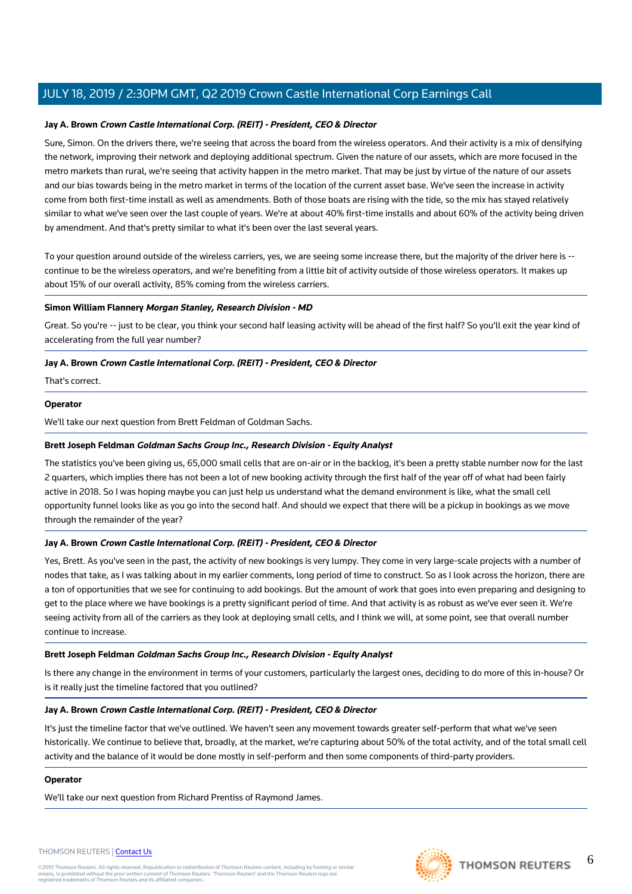## **Jay A. Brown Crown Castle International Corp. (REIT) - President, CEO & Director**

Sure, Simon. On the drivers there, we're seeing that across the board from the wireless operators. And their activity is a mix of densifying the network, improving their network and deploying additional spectrum. Given the nature of our assets, which are more focused in the metro markets than rural, we're seeing that activity happen in the metro market. That may be just by virtue of the nature of our assets and our bias towards being in the metro market in terms of the location of the current asset base. We've seen the increase in activity come from both first-time install as well as amendments. Both of those boats are rising with the tide, so the mix has stayed relatively similar to what we've seen over the last couple of years. We're at about 40% first-time installs and about 60% of the activity being driven by amendment. And that's pretty similar to what it's been over the last several years.

To your question around outside of the wireless carriers, yes, we are seeing some increase there, but the majority of the driver here is - continue to be the wireless operators, and we're benefiting from a little bit of activity outside of those wireless operators. It makes up about 15% of our overall activity, 85% coming from the wireless carriers.

## **Simon William Flannery Morgan Stanley, Research Division - MD**

Great. So you're -- just to be clear, you think your second half leasing activity will be ahead of the first half? So you'll exit the year kind of accelerating from the full year number?

# **Jay A. Brown Crown Castle International Corp. (REIT) - President, CEO & Director**

That's correct.

# **Operator**

We'll take our next question from Brett Feldman of Goldman Sachs.

## **Brett Joseph Feldman Goldman Sachs Group Inc., Research Division - Equity Analyst**

The statistics you've been giving us, 65,000 small cells that are on-air or in the backlog, it's been a pretty stable number now for the last 2 quarters, which implies there has not been a lot of new booking activity through the first half of the year off of what had been fairly active in 2018. So I was hoping maybe you can just help us understand what the demand environment is like, what the small cell opportunity funnel looks like as you go into the second half. And should we expect that there will be a pickup in bookings as we move through the remainder of the year?

## **Jay A. Brown Crown Castle International Corp. (REIT) - President, CEO & Director**

Yes, Brett. As you've seen in the past, the activity of new bookings is very lumpy. They come in very large-scale projects with a number of nodes that take, as I was talking about in my earlier comments, long period of time to construct. So as I look across the horizon, there are a ton of opportunities that we see for continuing to add bookings. But the amount of work that goes into even preparing and designing to get to the place where we have bookings is a pretty significant period of time. And that activity is as robust as we've ever seen it. We're seeing activity from all of the carriers as they look at deploying small cells, and I think we will, at some point, see that overall number continue to increase.

# **Brett Joseph Feldman Goldman Sachs Group Inc., Research Division - Equity Analyst**

Is there any change in the environment in terms of your customers, particularly the largest ones, deciding to do more of this in-house? Or is it really just the timeline factored that you outlined?

## **Jay A. Brown Crown Castle International Corp. (REIT) - President, CEO & Director**

It's just the timeline factor that we've outlined. We haven't seen any movement towards greater self-perform that what we've seen historically. We continue to believe that, broadly, at the market, we're capturing about 50% of the total activity, and of the total small cell activity and the balance of it would be done mostly in self-perform and then some components of third-party providers.

## **Operator**

We'll take our next question from Richard Prentiss of Raymond James.

#### THOMSON REUTERS | [Contact Us](https://my.thomsonreuters.com/ContactUsNew)

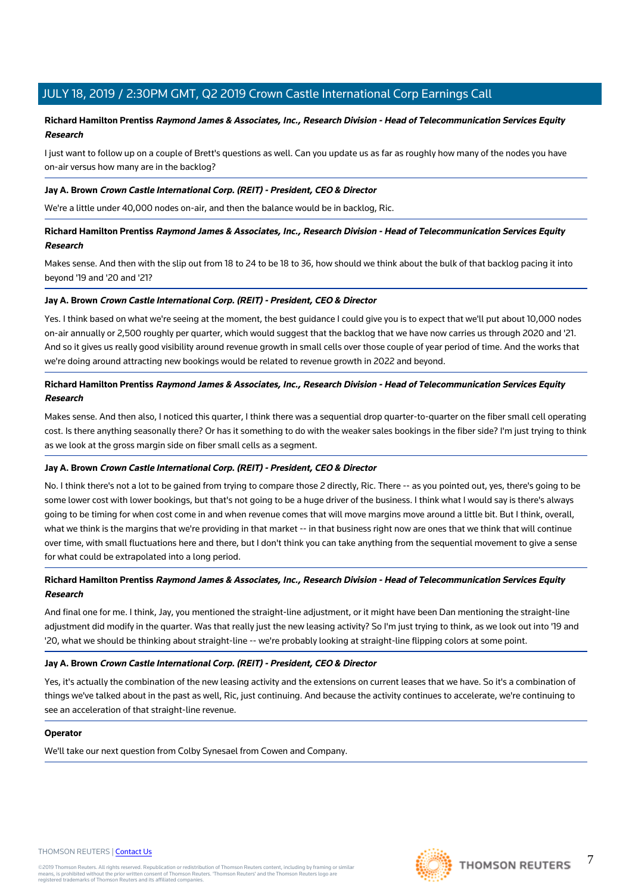# **Richard Hamilton Prentiss Raymond James & Associates, Inc., Research Division - Head of Telecommunication Services Equity Research**

I just want to follow up on a couple of Brett's questions as well. Can you update us as far as roughly how many of the nodes you have on-air versus how many are in the backlog?

#### **Jay A. Brown Crown Castle International Corp. (REIT) - President, CEO & Director**

We're a little under 40,000 nodes on-air, and then the balance would be in backlog, Ric.

**Richard Hamilton Prentiss Raymond James & Associates, Inc., Research Division - Head of Telecommunication Services Equity Research**

Makes sense. And then with the slip out from 18 to 24 to be 18 to 36, how should we think about the bulk of that backlog pacing it into beyond '19 and '20 and '21?

#### **Jay A. Brown Crown Castle International Corp. (REIT) - President, CEO & Director**

Yes. I think based on what we're seeing at the moment, the best guidance I could give you is to expect that we'll put about 10,000 nodes on-air annually or 2,500 roughly per quarter, which would suggest that the backlog that we have now carries us through 2020 and '21. And so it gives us really good visibility around revenue growth in small cells over those couple of year period of time. And the works that we're doing around attracting new bookings would be related to revenue growth in 2022 and beyond.

# **Richard Hamilton Prentiss Raymond James & Associates, Inc., Research Division - Head of Telecommunication Services Equity Research**

Makes sense. And then also, I noticed this quarter, I think there was a sequential drop quarter-to-quarter on the fiber small cell operating cost. Is there anything seasonally there? Or has it something to do with the weaker sales bookings in the fiber side? I'm just trying to think as we look at the gross margin side on fiber small cells as a segment.

## **Jay A. Brown Crown Castle International Corp. (REIT) - President, CEO & Director**

No. I think there's not a lot to be gained from trying to compare those 2 directly, Ric. There -- as you pointed out, yes, there's going to be some lower cost with lower bookings, but that's not going to be a huge driver of the business. I think what I would say is there's always going to be timing for when cost come in and when revenue comes that will move margins move around a little bit. But I think, overall, what we think is the margins that we're providing in that market -- in that business right now are ones that we think that will continue over time, with small fluctuations here and there, but I don't think you can take anything from the sequential movement to give a sense for what could be extrapolated into a long period.

# **Richard Hamilton Prentiss Raymond James & Associates, Inc., Research Division - Head of Telecommunication Services Equity Research**

And final one for me. I think, Jay, you mentioned the straight-line adjustment, or it might have been Dan mentioning the straight-line adjustment did modify in the quarter. Was that really just the new leasing activity? So I'm just trying to think, as we look out into '19 and '20, what we should be thinking about straight-line -- we're probably looking at straight-line flipping colors at some point.

## **Jay A. Brown Crown Castle International Corp. (REIT) - President, CEO & Director**

Yes, it's actually the combination of the new leasing activity and the extensions on current leases that we have. So it's a combination of things we've talked about in the past as well, Ric, just continuing. And because the activity continues to accelerate, we're continuing to see an acceleration of that straight-line revenue.

#### **Operator**

We'll take our next question from Colby Synesael from Cowen and Company.



7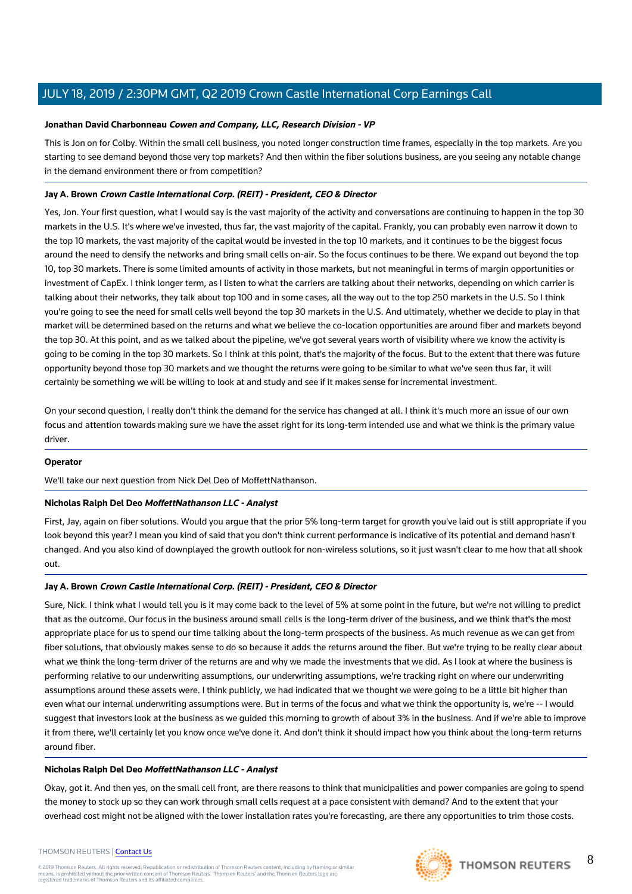## **Jonathan David Charbonneau Cowen and Company, LLC, Research Division - VP**

This is Jon on for Colby. Within the small cell business, you noted longer construction time frames, especially in the top markets. Are you starting to see demand beyond those very top markets? And then within the fiber solutions business, are you seeing any notable change in the demand environment there or from competition?

# **Jay A. Brown Crown Castle International Corp. (REIT) - President, CEO & Director**

Yes, Jon. Your first question, what I would say is the vast majority of the activity and conversations are continuing to happen in the top 30 markets in the U.S. It's where we've invested, thus far, the vast majority of the capital. Frankly, you can probably even narrow it down to the top 10 markets, the vast majority of the capital would be invested in the top 10 markets, and it continues to be the biggest focus around the need to densify the networks and bring small cells on-air. So the focus continues to be there. We expand out beyond the top 10, top 30 markets. There is some limited amounts of activity in those markets, but not meaningful in terms of margin opportunities or investment of CapEx. I think longer term, as I listen to what the carriers are talking about their networks, depending on which carrier is talking about their networks, they talk about top 100 and in some cases, all the way out to the top 250 markets in the U.S. So I think you're going to see the need for small cells well beyond the top 30 markets in the U.S. And ultimately, whether we decide to play in that market will be determined based on the returns and what we believe the co-location opportunities are around fiber and markets beyond the top 30. At this point, and as we talked about the pipeline, we've got several years worth of visibility where we know the activity is going to be coming in the top 30 markets. So I think at this point, that's the majority of the focus. But to the extent that there was future opportunity beyond those top 30 markets and we thought the returns were going to be similar to what we've seen thus far, it will certainly be something we will be willing to look at and study and see if it makes sense for incremental investment.

On your second question, I really don't think the demand for the service has changed at all. I think it's much more an issue of our own focus and attention towards making sure we have the asset right for its long-term intended use and what we think is the primary value driver.

## **Operator**

We'll take our next question from Nick Del Deo of MoffettNathanson.

# **Nicholas Ralph Del Deo MoffettNathanson LLC - Analyst**

First, Jay, again on fiber solutions. Would you argue that the prior 5% long-term target for growth you've laid out is still appropriate if you look beyond this year? I mean you kind of said that you don't think current performance is indicative of its potential and demand hasn't changed. And you also kind of downplayed the growth outlook for non-wireless solutions, so it just wasn't clear to me how that all shook out.

# **Jay A. Brown Crown Castle International Corp. (REIT) - President, CEO & Director**

Sure, Nick. I think what I would tell you is it may come back to the level of 5% at some point in the future, but we're not willing to predict that as the outcome. Our focus in the business around small cells is the long-term driver of the business, and we think that's the most appropriate place for us to spend our time talking about the long-term prospects of the business. As much revenue as we can get from fiber solutions, that obviously makes sense to do so because it adds the returns around the fiber. But we're trying to be really clear about what we think the long-term driver of the returns are and why we made the investments that we did. As I look at where the business is performing relative to our underwriting assumptions, our underwriting assumptions, we're tracking right on where our underwriting assumptions around these assets were. I think publicly, we had indicated that we thought we were going to be a little bit higher than even what our internal underwriting assumptions were. But in terms of the focus and what we think the opportunity is, we're -- I would suggest that investors look at the business as we guided this morning to growth of about 3% in the business. And if we're able to improve it from there, we'll certainly let you know once we've done it. And don't think it should impact how you think about the long-term returns around fiber.

## **Nicholas Ralph Del Deo MoffettNathanson LLC - Analyst**

Okay, got it. And then yes, on the small cell front, are there reasons to think that municipalities and power companies are going to spend the money to stock up so they can work through small cells request at a pace consistent with demand? And to the extent that your overhead cost might not be aligned with the lower installation rates you're forecasting, are there any opportunities to trim those costs.

#### THOMSON REUTERS | [Contact Us](https://my.thomsonreuters.com/ContactUsNew)

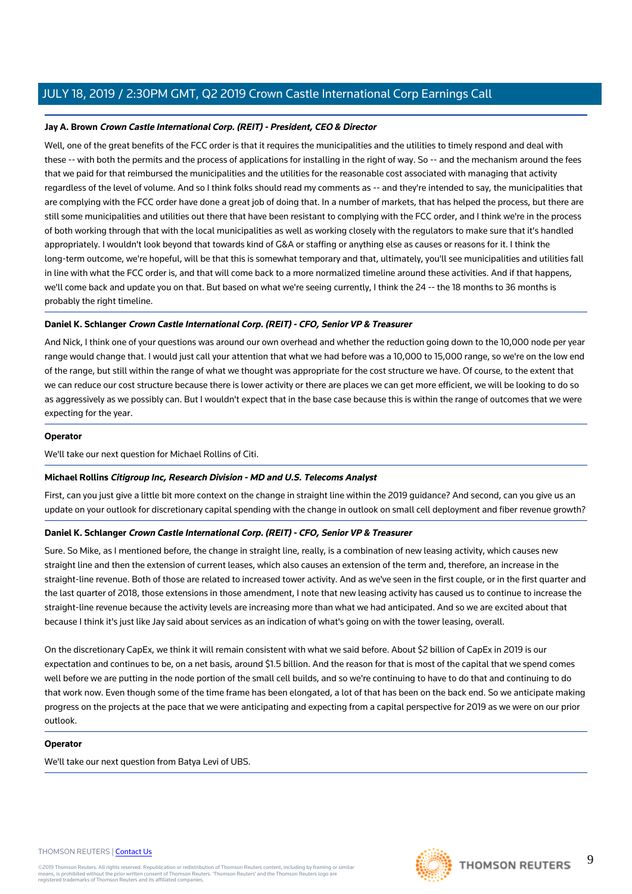# **Jay A. Brown Crown Castle International Corp. (REIT) - President, CEO & Director**

Well, one of the great benefits of the FCC order is that it requires the municipalities and the utilities to timely respond and deal with these -- with both the permits and the process of applications for installing in the right of way. So -- and the mechanism around the fees that we paid for that reimbursed the municipalities and the utilities for the reasonable cost associated with managing that activity regardless of the level of volume. And so I think folks should read my comments as -- and they're intended to say, the municipalities that are complying with the FCC order have done a great job of doing that. In a number of markets, that has helped the process, but there are still some municipalities and utilities out there that have been resistant to complying with the FCC order, and I think we're in the process of both working through that with the local municipalities as well as working closely with the regulators to make sure that it's handled appropriately. I wouldn't look beyond that towards kind of G&A or staffing or anything else as causes or reasons for it. I think the long-term outcome, we're hopeful, will be that this is somewhat temporary and that, ultimately, you'll see municipalities and utilities fall in line with what the FCC order is, and that will come back to a more normalized timeline around these activities. And if that happens, we'll come back and update you on that. But based on what we're seeing currently, I think the 24 -- the 18 months to 36 months is probably the right timeline.

# **Daniel K. Schlanger Crown Castle International Corp. (REIT) - CFO, Senior VP & Treasurer**

And Nick, I think one of your questions was around our own overhead and whether the reduction going down to the 10,000 node per year range would change that. I would just call your attention that what we had before was a 10,000 to 15,000 range, so we're on the low end of the range, but still within the range of what we thought was appropriate for the cost structure we have. Of course, to the extent that we can reduce our cost structure because there is lower activity or there are places we can get more efficient, we will be looking to do so as aggressively as we possibly can. But I wouldn't expect that in the base case because this is within the range of outcomes that we were expecting for the year.

## **Operator**

We'll take our next question for Michael Rollins of Citi.

## **Michael Rollins Citigroup Inc, Research Division - MD and U.S. Telecoms Analyst**

First, can you just give a little bit more context on the change in straight line within the 2019 guidance? And second, can you give us an update on your outlook for discretionary capital spending with the change in outlook on small cell deployment and fiber revenue growth?

## **Daniel K. Schlanger Crown Castle International Corp. (REIT) - CFO, Senior VP & Treasurer**

Sure. So Mike, as I mentioned before, the change in straight line, really, is a combination of new leasing activity, which causes new straight line and then the extension of current leases, which also causes an extension of the term and, therefore, an increase in the straight-line revenue. Both of those are related to increased tower activity. And as we've seen in the first couple, or in the first quarter and the last quarter of 2018, those extensions in those amendment, I note that new leasing activity has caused us to continue to increase the straight-line revenue because the activity levels are increasing more than what we had anticipated. And so we are excited about that because I think it's just like Jay said about services as an indication of what's going on with the tower leasing, overall.

On the discretionary CapEx, we think it will remain consistent with what we said before. About \$2 billion of CapEx in 2019 is our expectation and continues to be, on a net basis, around \$1.5 billion. And the reason for that is most of the capital that we spend comes well before we are putting in the node portion of the small cell builds, and so we're continuing to have to do that and continuing to do that work now. Even though some of the time frame has been elongated, a lot of that has been on the back end. So we anticipate making progress on the projects at the pace that we were anticipating and expecting from a capital perspective for 2019 as we were on our prior outlook.

## **Operator**

We'll take our next question from Batya Levi of UBS.

## THOMSON REUTERS | [Contact Us](https://my.thomsonreuters.com/ContactUsNew)

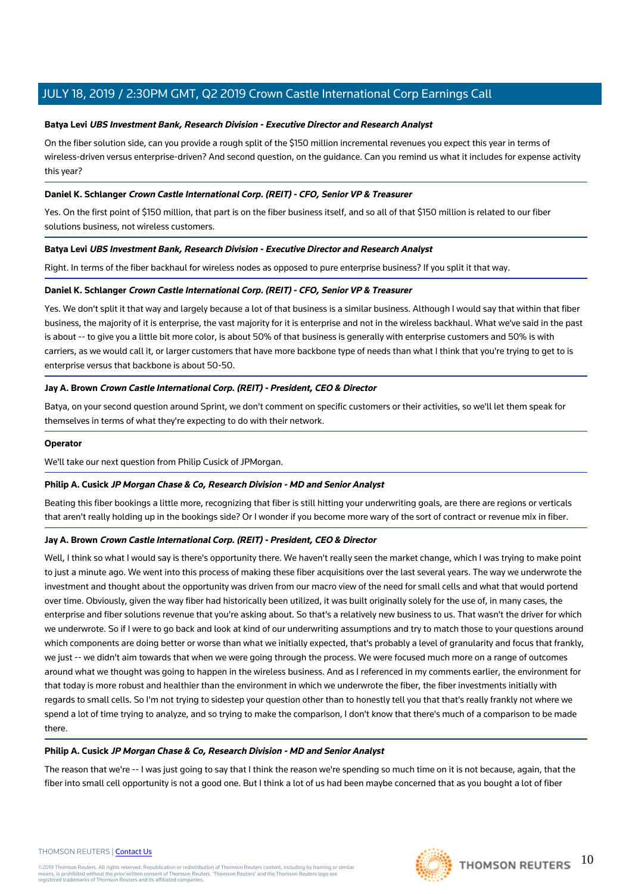## **Batya Levi UBS Investment Bank, Research Division - Executive Director and Research Analyst**

On the fiber solution side, can you provide a rough split of the \$150 million incremental revenues you expect this year in terms of wireless-driven versus enterprise-driven? And second question, on the guidance. Can you remind us what it includes for expense activity this year?

## **Daniel K. Schlanger Crown Castle International Corp. (REIT) - CFO, Senior VP & Treasurer**

Yes. On the first point of \$150 million, that part is on the fiber business itself, and so all of that \$150 million is related to our fiber solutions business, not wireless customers.

#### **Batya Levi UBS Investment Bank, Research Division - Executive Director and Research Analyst**

Right. In terms of the fiber backhaul for wireless nodes as opposed to pure enterprise business? If you split it that way.

#### **Daniel K. Schlanger Crown Castle International Corp. (REIT) - CFO, Senior VP & Treasurer**

Yes. We don't split it that way and largely because a lot of that business is a similar business. Although I would say that within that fiber business, the majority of it is enterprise, the vast majority for it is enterprise and not in the wireless backhaul. What we've said in the past is about -- to give you a little bit more color, is about 50% of that business is generally with enterprise customers and 50% is with carriers, as we would call it, or larger customers that have more backbone type of needs than what I think that you're trying to get to is enterprise versus that backbone is about 50-50.

# **Jay A. Brown Crown Castle International Corp. (REIT) - President, CEO & Director**

Batya, on your second question around Sprint, we don't comment on specific customers or their activities, so we'll let them speak for themselves in terms of what they're expecting to do with their network.

#### **Operator**

We'll take our next question from Philip Cusick of JPMorgan.

#### **Philip A. Cusick JP Morgan Chase & Co, Research Division - MD and Senior Analyst**

Beating this fiber bookings a little more, recognizing that fiber is still hitting your underwriting goals, are there are regions or verticals that aren't really holding up in the bookings side? Or I wonder if you become more wary of the sort of contract or revenue mix in fiber.

## **Jay A. Brown Crown Castle International Corp. (REIT) - President, CEO & Director**

Well, I think so what I would say is there's opportunity there. We haven't really seen the market change, which I was trying to make point to just a minute ago. We went into this process of making these fiber acquisitions over the last several years. The way we underwrote the investment and thought about the opportunity was driven from our macro view of the need for small cells and what that would portend over time. Obviously, given the way fiber had historically been utilized, it was built originally solely for the use of, in many cases, the enterprise and fiber solutions revenue that you're asking about. So that's a relatively new business to us. That wasn't the driver for which we underwrote. So if I were to go back and look at kind of our underwriting assumptions and try to match those to your questions around which components are doing better or worse than what we initially expected, that's probably a level of granularity and focus that frankly, we just -- we didn't aim towards that when we were going through the process. We were focused much more on a range of outcomes around what we thought was going to happen in the wireless business. And as I referenced in my comments earlier, the environment for that today is more robust and healthier than the environment in which we underwrote the fiber, the fiber investments initially with regards to small cells. So I'm not trying to sidestep your question other than to honestly tell you that that's really frankly not where we spend a lot of time trying to analyze, and so trying to make the comparison, I don't know that there's much of a comparison to be made there.

#### **Philip A. Cusick JP Morgan Chase & Co, Research Division - MD and Senior Analyst**

The reason that we're -- I was just going to say that I think the reason we're spending so much time on it is not because, again, that the fiber into small cell opportunity is not a good one. But I think a lot of us had been maybe concerned that as you bought a lot of fiber

#### THOMSON REUTERS | [Contact Us](https://my.thomsonreuters.com/ContactUsNew)

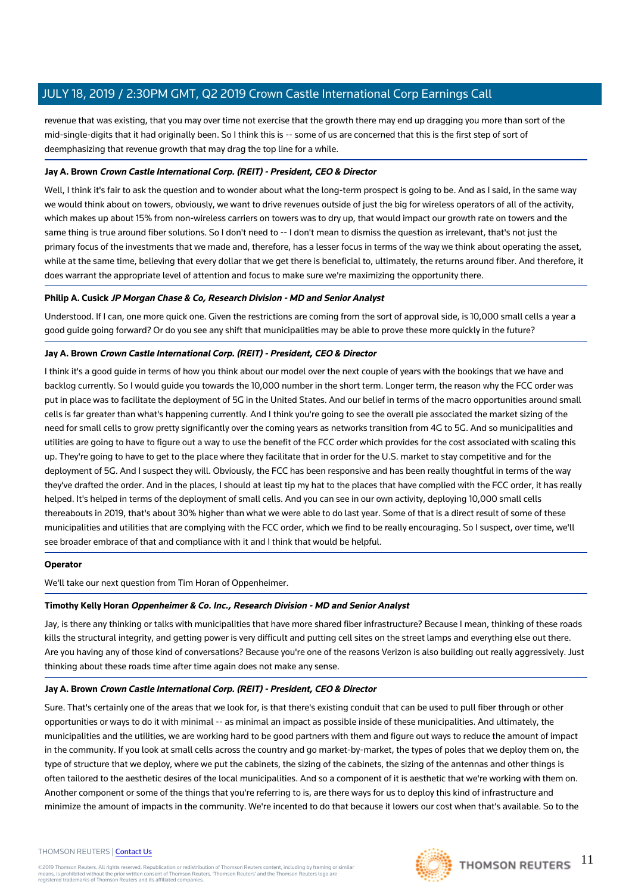revenue that was existing, that you may over time not exercise that the growth there may end up dragging you more than sort of the mid-single-digits that it had originally been. So I think this is -- some of us are concerned that this is the first step of sort of deemphasizing that revenue growth that may drag the top line for a while.

# **Jay A. Brown Crown Castle International Corp. (REIT) - President, CEO & Director**

Well, I think it's fair to ask the question and to wonder about what the long-term prospect is going to be. And as I said, in the same way we would think about on towers, obviously, we want to drive revenues outside of just the big for wireless operators of all of the activity, which makes up about 15% from non-wireless carriers on towers was to dry up, that would impact our growth rate on towers and the same thing is true around fiber solutions. So I don't need to -- I don't mean to dismiss the question as irrelevant, that's not just the primary focus of the investments that we made and, therefore, has a lesser focus in terms of the way we think about operating the asset, while at the same time, believing that every dollar that we get there is beneficial to, ultimately, the returns around fiber. And therefore, it does warrant the appropriate level of attention and focus to make sure we're maximizing the opportunity there.

## **Philip A. Cusick JP Morgan Chase & Co, Research Division - MD and Senior Analyst**

Understood. If I can, one more quick one. Given the restrictions are coming from the sort of approval side, is 10,000 small cells a year a good guide going forward? Or do you see any shift that municipalities may be able to prove these more quickly in the future?

## **Jay A. Brown Crown Castle International Corp. (REIT) - President, CEO & Director**

I think it's a good guide in terms of how you think about our model over the next couple of years with the bookings that we have and backlog currently. So I would guide you towards the 10,000 number in the short term. Longer term, the reason why the FCC order was put in place was to facilitate the deployment of 5G in the United States. And our belief in terms of the macro opportunities around small cells is far greater than what's happening currently. And I think you're going to see the overall pie associated the market sizing of the need for small cells to grow pretty significantly over the coming years as networks transition from 4G to 5G. And so municipalities and utilities are going to have to figure out a way to use the benefit of the FCC order which provides for the cost associated with scaling this up. They're going to have to get to the place where they facilitate that in order for the U.S. market to stay competitive and for the deployment of 5G. And I suspect they will. Obviously, the FCC has been responsive and has been really thoughtful in terms of the way they've drafted the order. And in the places, I should at least tip my hat to the places that have complied with the FCC order, it has really helped. It's helped in terms of the deployment of small cells. And you can see in our own activity, deploying 10,000 small cells thereabouts in 2019, that's about 30% higher than what we were able to do last year. Some of that is a direct result of some of these municipalities and utilities that are complying with the FCC order, which we find to be really encouraging. So I suspect, over time, we'll see broader embrace of that and compliance with it and I think that would be helpful.

## **Operator**

We'll take our next question from Tim Horan of Oppenheimer.

## **Timothy Kelly Horan Oppenheimer & Co. Inc., Research Division - MD and Senior Analyst**

Jay, is there any thinking or talks with municipalities that have more shared fiber infrastructure? Because I mean, thinking of these roads kills the structural integrity, and getting power is very difficult and putting cell sites on the street lamps and everything else out there. Are you having any of those kind of conversations? Because you're one of the reasons Verizon is also building out really aggressively. Just thinking about these roads time after time again does not make any sense.

## **Jay A. Brown Crown Castle International Corp. (REIT) - President, CEO & Director**

Sure. That's certainly one of the areas that we look for, is that there's existing conduit that can be used to pull fiber through or other opportunities or ways to do it with minimal -- as minimal an impact as possible inside of these municipalities. And ultimately, the municipalities and the utilities, we are working hard to be good partners with them and figure out ways to reduce the amount of impact in the community. If you look at small cells across the country and go market-by-market, the types of poles that we deploy them on, the type of structure that we deploy, where we put the cabinets, the sizing of the cabinets, the sizing of the antennas and other things is often tailored to the aesthetic desires of the local municipalities. And so a component of it is aesthetic that we're working with them on. Another component or some of the things that you're referring to is, are there ways for us to deploy this kind of infrastructure and minimize the amount of impacts in the community. We're incented to do that because it lowers our cost when that's available. So to the

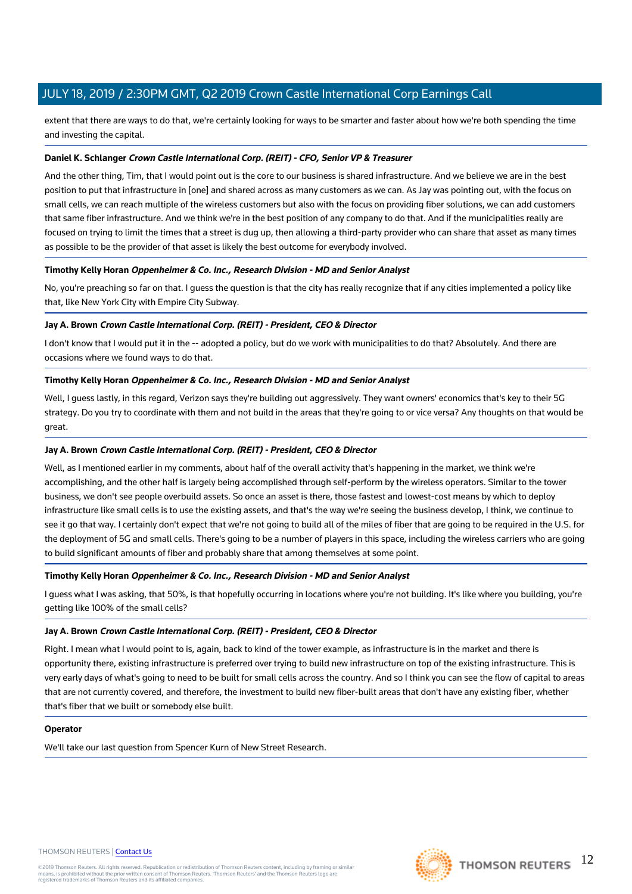extent that there are ways to do that, we're certainly looking for ways to be smarter and faster about how we're both spending the time and investing the capital.

#### **Daniel K. Schlanger Crown Castle International Corp. (REIT) - CFO, Senior VP & Treasurer**

And the other thing, Tim, that I would point out is the core to our business is shared infrastructure. And we believe we are in the best position to put that infrastructure in [one] and shared across as many customers as we can. As Jay was pointing out, with the focus on small cells, we can reach multiple of the wireless customers but also with the focus on providing fiber solutions, we can add customers that same fiber infrastructure. And we think we're in the best position of any company to do that. And if the municipalities really are focused on trying to limit the times that a street is dug up, then allowing a third-party provider who can share that asset as many times as possible to be the provider of that asset is likely the best outcome for everybody involved.

#### **Timothy Kelly Horan Oppenheimer & Co. Inc., Research Division - MD and Senior Analyst**

No, you're preaching so far on that. I guess the question is that the city has really recognize that if any cities implemented a policy like that, like New York City with Empire City Subway.

## **Jay A. Brown Crown Castle International Corp. (REIT) - President, CEO & Director**

I don't know that I would put it in the -- adopted a policy, but do we work with municipalities to do that? Absolutely. And there are occasions where we found ways to do that.

#### **Timothy Kelly Horan Oppenheimer & Co. Inc., Research Division - MD and Senior Analyst**

Well, I guess lastly, in this regard, Verizon says they're building out aggressively. They want owners' economics that's key to their 5G strategy. Do you try to coordinate with them and not build in the areas that they're going to or vice versa? Any thoughts on that would be great.

#### **Jay A. Brown Crown Castle International Corp. (REIT) - President, CEO & Director**

Well, as I mentioned earlier in my comments, about half of the overall activity that's happening in the market, we think we're accomplishing, and the other half is largely being accomplished through self-perform by the wireless operators. Similar to the tower business, we don't see people overbuild assets. So once an asset is there, those fastest and lowest-cost means by which to deploy infrastructure like small cells is to use the existing assets, and that's the way we're seeing the business develop, I think, we continue to see it go that way. I certainly don't expect that we're not going to build all of the miles of fiber that are going to be required in the U.S. for the deployment of 5G and small cells. There's going to be a number of players in this space, including the wireless carriers who are going to build significant amounts of fiber and probably share that among themselves at some point.

## **Timothy Kelly Horan Oppenheimer & Co. Inc., Research Division - MD and Senior Analyst**

I guess what I was asking, that 50%, is that hopefully occurring in locations where you're not building. It's like where you building, you're getting like 100% of the small cells?

## **Jay A. Brown Crown Castle International Corp. (REIT) - President, CEO & Director**

Right. I mean what I would point to is, again, back to kind of the tower example, as infrastructure is in the market and there is opportunity there, existing infrastructure is preferred over trying to build new infrastructure on top of the existing infrastructure. This is very early days of what's going to need to be built for small cells across the country. And so I think you can see the flow of capital to areas that are not currently covered, and therefore, the investment to build new fiber-built areas that don't have any existing fiber, whether that's fiber that we built or somebody else built.

#### **Operator**

We'll take our last question from Spencer Kurn of New Street Research.

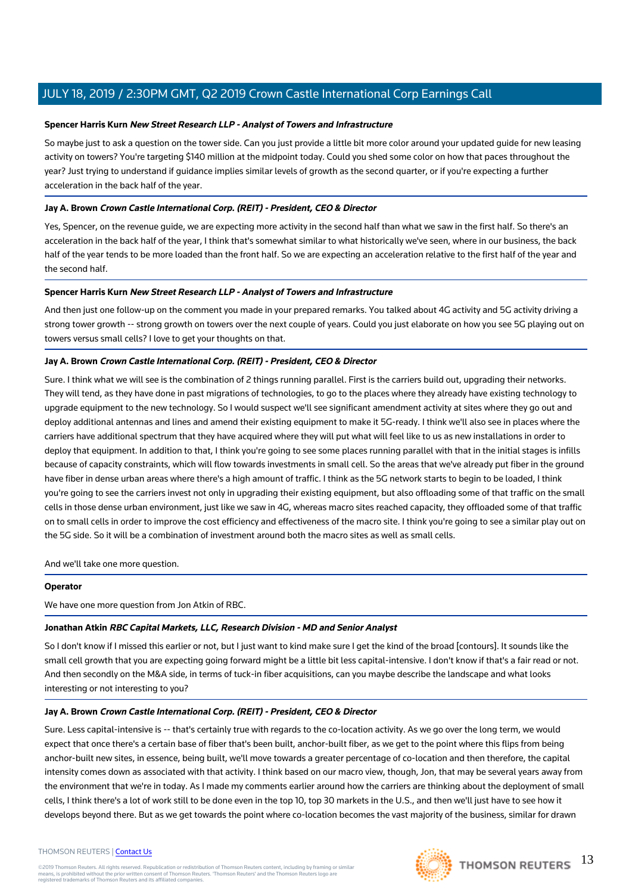## **Spencer Harris Kurn New Street Research LLP - Analyst of Towers and Infrastructure**

So maybe just to ask a question on the tower side. Can you just provide a little bit more color around your updated guide for new leasing activity on towers? You're targeting \$140 million at the midpoint today. Could you shed some color on how that paces throughout the year? Just trying to understand if guidance implies similar levels of growth as the second quarter, or if you're expecting a further acceleration in the back half of the year.

# **Jay A. Brown Crown Castle International Corp. (REIT) - President, CEO & Director**

Yes, Spencer, on the revenue guide, we are expecting more activity in the second half than what we saw in the first half. So there's an acceleration in the back half of the year, I think that's somewhat similar to what historically we've seen, where in our business, the back half of the year tends to be more loaded than the front half. So we are expecting an acceleration relative to the first half of the year and the second half.

# **Spencer Harris Kurn New Street Research LLP - Analyst of Towers and Infrastructure**

And then just one follow-up on the comment you made in your prepared remarks. You talked about 4G activity and 5G activity driving a strong tower growth -- strong growth on towers over the next couple of years. Could you just elaborate on how you see 5G playing out on towers versus small cells? I love to get your thoughts on that.

# **Jay A. Brown Crown Castle International Corp. (REIT) - President, CEO & Director**

Sure. I think what we will see is the combination of 2 things running parallel. First is the carriers build out, upgrading their networks. They will tend, as they have done in past migrations of technologies, to go to the places where they already have existing technology to upgrade equipment to the new technology. So I would suspect we'll see significant amendment activity at sites where they go out and deploy additional antennas and lines and amend their existing equipment to make it 5G-ready. I think we'll also see in places where the carriers have additional spectrum that they have acquired where they will put what will feel like to us as new installations in order to deploy that equipment. In addition to that, I think you're going to see some places running parallel with that in the initial stages is infills because of capacity constraints, which will flow towards investments in small cell. So the areas that we've already put fiber in the ground have fiber in dense urban areas where there's a high amount of traffic. I think as the 5G network starts to begin to be loaded, I think you're going to see the carriers invest not only in upgrading their existing equipment, but also offloading some of that traffic on the small cells in those dense urban environment, just like we saw in 4G, whereas macro sites reached capacity, they offloaded some of that traffic on to small cells in order to improve the cost efficiency and effectiveness of the macro site. I think you're going to see a similar play out on the 5G side. So it will be a combination of investment around both the macro sites as well as small cells.

And we'll take one more question.

## **Operator**

We have one more question from Jon Atkin of RBC.

## **Jonathan Atkin RBC Capital Markets, LLC, Research Division - MD and Senior Analyst**

So I don't know if I missed this earlier or not, but I just want to kind make sure I get the kind of the broad [contours]. It sounds like the small cell growth that you are expecting going forward might be a little bit less capital-intensive. I don't know if that's a fair read or not. And then secondly on the M&A side, in terms of tuck-in fiber acquisitions, can you maybe describe the landscape and what looks interesting or not interesting to you?

## **Jay A. Brown Crown Castle International Corp. (REIT) - President, CEO & Director**

Sure. Less capital-intensive is -- that's certainly true with regards to the co-location activity. As we go over the long term, we would expect that once there's a certain base of fiber that's been built, anchor-built fiber, as we get to the point where this flips from being anchor-built new sites, in essence, being built, we'll move towards a greater percentage of co-location and then therefore, the capital intensity comes down as associated with that activity. I think based on our macro view, though, Jon, that may be several years away from the environment that we're in today. As I made my comments earlier around how the carriers are thinking about the deployment of small cells, I think there's a lot of work still to be done even in the top 10, top 30 markets in the U.S., and then we'll just have to see how it develops beyond there. But as we get towards the point where co-location becomes the vast majority of the business, similar for drawn